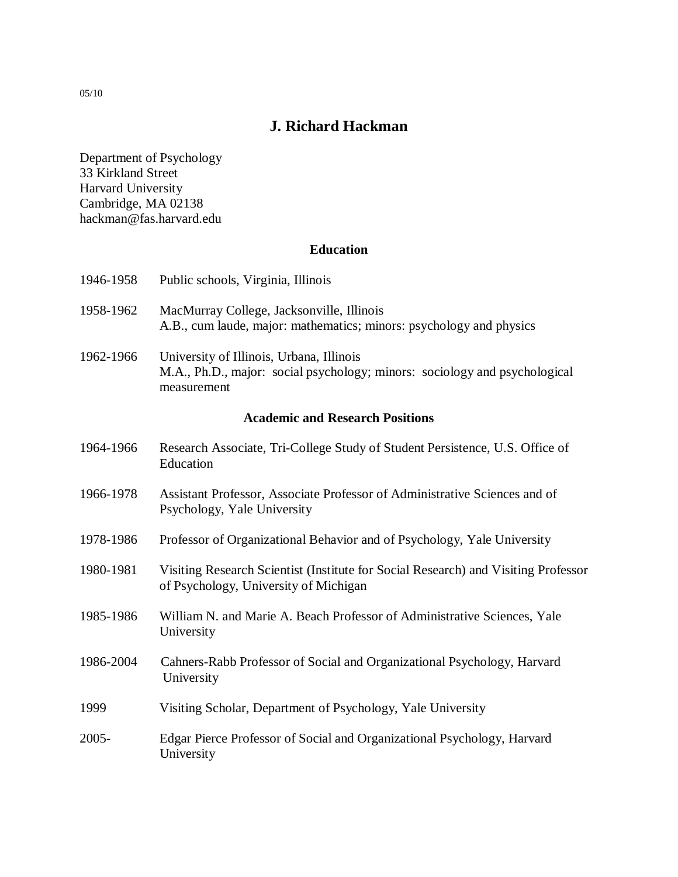# **J. Richard Hackman**

Department of Psychology 33 Kirkland Street Harvard University Cambridge, MA 02138 hackman@fas.harvard.edu

# **Education**

| 1946-1958                              | Public schools, Virginia, Illinois                                                                                                    |  |  |  |
|----------------------------------------|---------------------------------------------------------------------------------------------------------------------------------------|--|--|--|
| 1958-1962                              | MacMurray College, Jacksonville, Illinois<br>A.B., cum laude, major: mathematics; minors: psychology and physics                      |  |  |  |
| 1962-1966                              | University of Illinois, Urbana, Illinois<br>M.A., Ph.D., major: social psychology; minors: sociology and psychological<br>measurement |  |  |  |
| <b>Academic and Research Positions</b> |                                                                                                                                       |  |  |  |
| 1964-1966                              | Research Associate, Tri-College Study of Student Persistence, U.S. Office of<br>Education                                             |  |  |  |
| 1966-1978                              | Assistant Professor, Associate Professor of Administrative Sciences and of<br>Psychology, Yale University                             |  |  |  |
| 1978-1986                              | Professor of Organizational Behavior and of Psychology, Yale University                                                               |  |  |  |
| 1980-1981                              | Visiting Research Scientist (Institute for Social Research) and Visiting Professor<br>of Psychology, University of Michigan           |  |  |  |
| 1985-1986                              | William N. and Marie A. Beach Professor of Administrative Sciences, Yale<br>University                                                |  |  |  |
| 1986-2004                              | Cahners-Rabb Professor of Social and Organizational Psychology, Harvard<br>University                                                 |  |  |  |
| 1999                                   | Visiting Scholar, Department of Psychology, Yale University                                                                           |  |  |  |
| 2005-                                  | Edgar Pierce Professor of Social and Organizational Psychology, Harvard<br>University                                                 |  |  |  |

05/10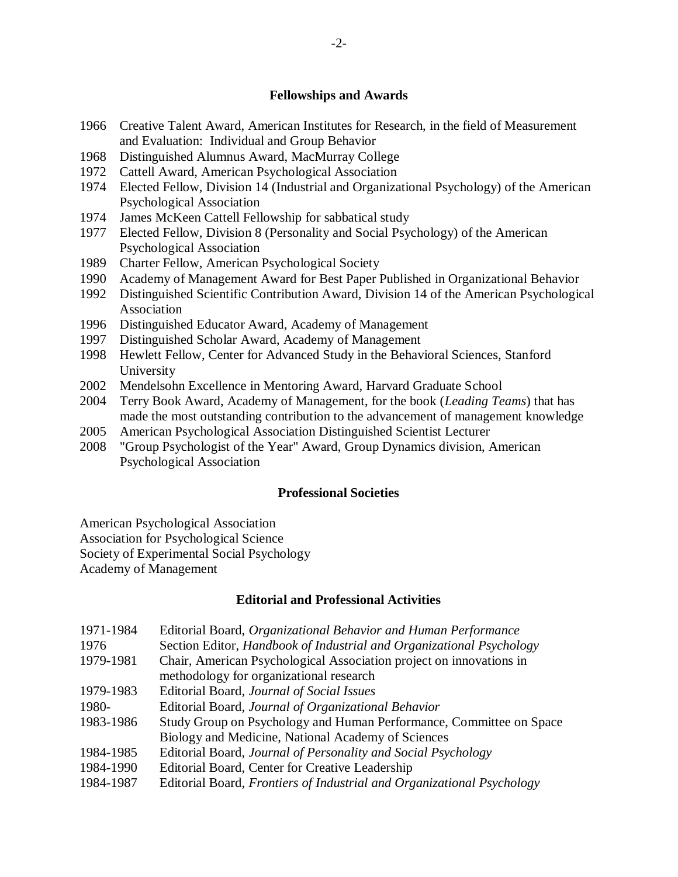## **Fellowships and Awards**

- 1966 Creative Talent Award, American Institutes for Research, in the field of Measurement and Evaluation: Individual and Group Behavior
- 1968 Distinguished Alumnus Award, MacMurray College
- 1972 Cattell Award, American Psychological Association
- 1974 Elected Fellow, Division 14 (Industrial and Organizational Psychology) of the American Psychological Association
- 1974 James McKeen Cattell Fellowship for sabbatical study
- 1977 Elected Fellow, Division 8 (Personality and Social Psychology) of the American Psychological Association
- 1989 Charter Fellow, American Psychological Society
- 1990 Academy of Management Award for Best Paper Published in Organizational Behavior
- 1992 Distinguished Scientific Contribution Award, Division 14 of the American Psychological Association
- 1996 Distinguished Educator Award, Academy of Management
- 1997 Distinguished Scholar Award, Academy of Management
- 1998 Hewlett Fellow, Center for Advanced Study in the Behavioral Sciences, Stanford University
- 2002 Mendelsohn Excellence in Mentoring Award, Harvard Graduate School
- 2004 Terry Book Award, Academy of Management, for the book (*Leading Teams*) that has made the most outstanding contribution to the advancement of management knowledge
- 2005 American Psychological Association Distinguished Scientist Lecturer
- 2008 "Group Psychologist of the Year" Award, Group Dynamics division, American Psychological Association

## **Professional Societies**

American Psychological Association

Association for Psychological Science

Society of Experimental Social Psychology

Academy of Management

#### **Editorial and Professional Activities**

| 1971-1984 | Editorial Board, Organizational Behavior and Human Performance         |  |
|-----------|------------------------------------------------------------------------|--|
| 1976      | Section Editor, Handbook of Industrial and Organizational Psychology   |  |
| 1979-1981 | Chair, American Psychological Association project on innovations in    |  |
|           | methodology for organizational research                                |  |
| 1979-1983 | Editorial Board, Journal of Social Issues                              |  |
| 1980-     | Editorial Board, Journal of Organizational Behavior                    |  |
| 1983-1986 | Study Group on Psychology and Human Performance, Committee on Space    |  |
|           | Biology and Medicine, National Academy of Sciences                     |  |
| 1984-1985 | Editorial Board, Journal of Personality and Social Psychology          |  |
| 1984-1990 | Editorial Board, Center for Creative Leadership                        |  |
| 1984-1987 | Editorial Board, Frontiers of Industrial and Organizational Psychology |  |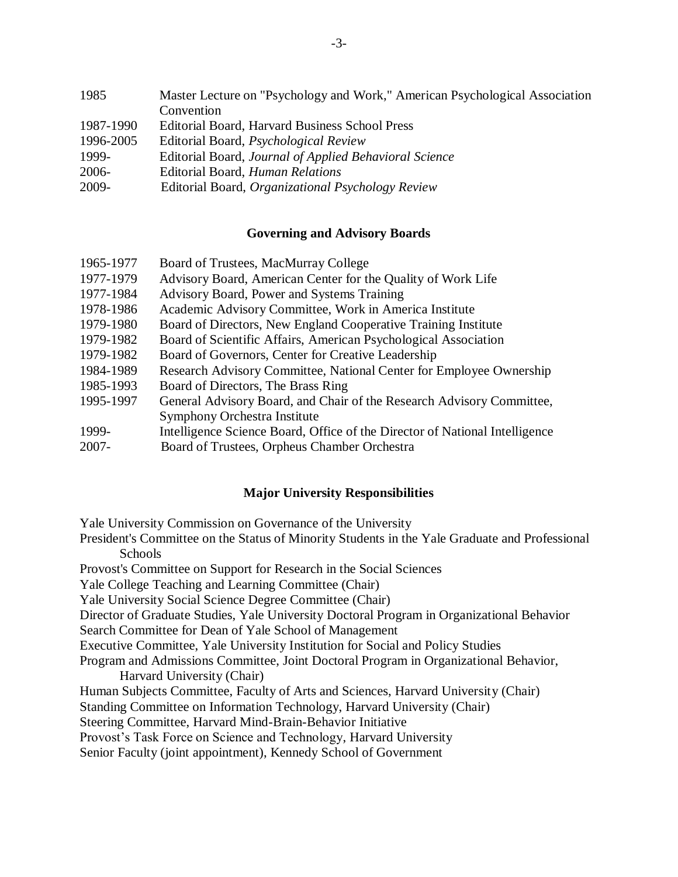| 1985      | Master Lecture on "Psychology and Work," American Psychological Association |  |
|-----------|-----------------------------------------------------------------------------|--|
|           | Convention                                                                  |  |
| 1987-1990 | Editorial Board, Harvard Business School Press                              |  |
| 1996-2005 | Editorial Board, <i>Psychological Review</i>                                |  |
| 1999-     | Editorial Board, Journal of Applied Behavioral Science                      |  |
| $2006 -$  | Editorial Board, Human Relations                                            |  |
| 2009-     | Editorial Board, Organizational Psychology Review                           |  |

#### **Governing and Advisory Boards**

| 1965-1977 | Board of Trustees, MacMurray College                                        |  |
|-----------|-----------------------------------------------------------------------------|--|
| 1977-1979 | Advisory Board, American Center for the Quality of Work Life                |  |
| 1977-1984 | Advisory Board, Power and Systems Training                                  |  |
| 1978-1986 | Academic Advisory Committee, Work in America Institute                      |  |
| 1979-1980 | Board of Directors, New England Cooperative Training Institute              |  |
| 1979-1982 | Board of Scientific Affairs, American Psychological Association             |  |
| 1979-1982 | Board of Governors, Center for Creative Leadership                          |  |
| 1984-1989 | Research Advisory Committee, National Center for Employee Ownership         |  |
| 1985-1993 | Board of Directors, The Brass Ring                                          |  |
| 1995-1997 | General Advisory Board, and Chair of the Research Advisory Committee,       |  |
|           | Symphony Orchestra Institute                                                |  |
| 1999-     | Intelligence Science Board, Office of the Director of National Intelligence |  |

2007- Board of Trustees, Orpheus Chamber Orchestra

#### **Major University Responsibilities**

Yale University Commission on Governance of the University

President's Committee on the Status of Minority Students in the Yale Graduate and Professional Schools

Provost's Committee on Support for Research in the Social Sciences

Yale College Teaching and Learning Committee (Chair)

Yale University Social Science Degree Committee (Chair)

Director of Graduate Studies, Yale University Doctoral Program in Organizational Behavior

Search Committee for Dean of Yale School of Management

Executive Committee, Yale University Institution for Social and Policy Studies

Program and Admissions Committee, Joint Doctoral Program in Organizational Behavior, Harvard University (Chair)

Human Subjects Committee, Faculty of Arts and Sciences, Harvard University (Chair)

Standing Committee on Information Technology, Harvard University (Chair)

Steering Committee, Harvard Mind-Brain-Behavior Initiative

Provost's Task Force on Science and Technology, Harvard University

Senior Faculty (joint appointment), Kennedy School of Government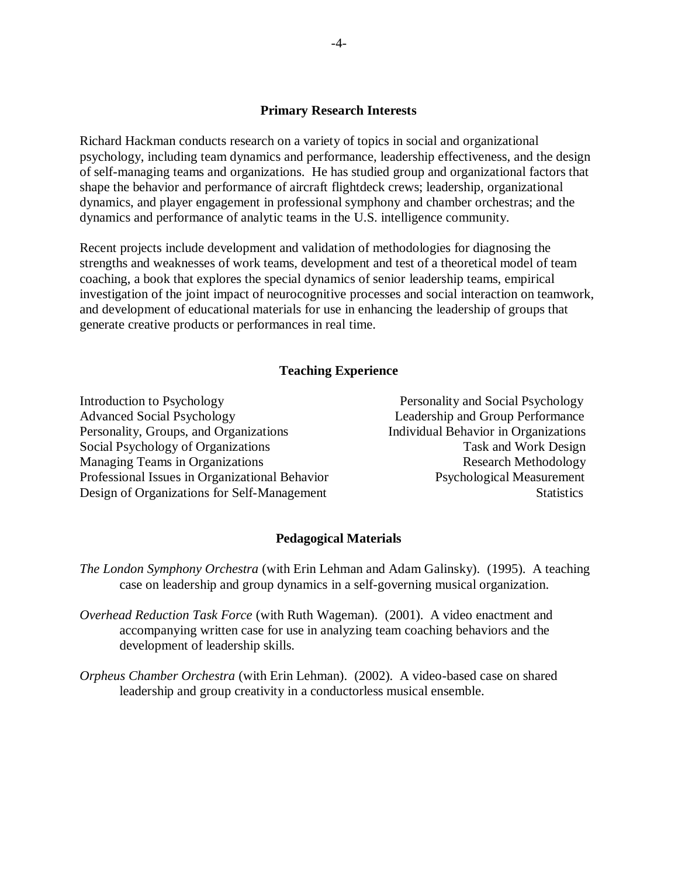#### **Primary Research Interests**

Richard Hackman conducts research on a variety of topics in social and organizational psychology, including team dynamics and performance, leadership effectiveness, and the design of self-managing teams and organizations. He has studied group and organizational factors that shape the behavior and performance of aircraft flightdeck crews; leadership, organizational dynamics, and player engagement in professional symphony and chamber orchestras; and the dynamics and performance of analytic teams in the U.S. intelligence community.

Recent projects include development and validation of methodologies for diagnosing the strengths and weaknesses of work teams, development and test of a theoretical model of team coaching, a book that explores the special dynamics of senior leadership teams, empirical investigation of the joint impact of neurocognitive processes and social interaction on teamwork, and development of educational materials for use in enhancing the leadership of groups that generate creative products or performances in real time.

#### **Teaching Experience**

| Introduction to Psychology                     | Personality and Social Psychology           |
|------------------------------------------------|---------------------------------------------|
| <b>Advanced Social Psychology</b>              | Leadership and Group Performance            |
| Personality, Groups, and Organizations         | <b>Individual Behavior in Organizations</b> |
| Social Psychology of Organizations             | Task and Work Design                        |
| <b>Managing Teams in Organizations</b>         | Research Methodology                        |
| Professional Issues in Organizational Behavior | <b>Psychological Measurement</b>            |
| Design of Organizations for Self-Management    | <b>Statistics</b>                           |
|                                                |                                             |

#### **Pedagogical Materials**

- *The London Symphony Orchestra* (with Erin Lehman and Adam Galinsky). (1995). A teaching case on leadership and group dynamics in a self-governing musical organization.
- *Overhead Reduction Task Force* (with Ruth Wageman). (2001). A video enactment and accompanying written case for use in analyzing team coaching behaviors and the development of leadership skills.
- *Orpheus Chamber Orchestra* (with Erin Lehman). (2002). A video-based case on shared leadership and group creativity in a conductorless musical ensemble.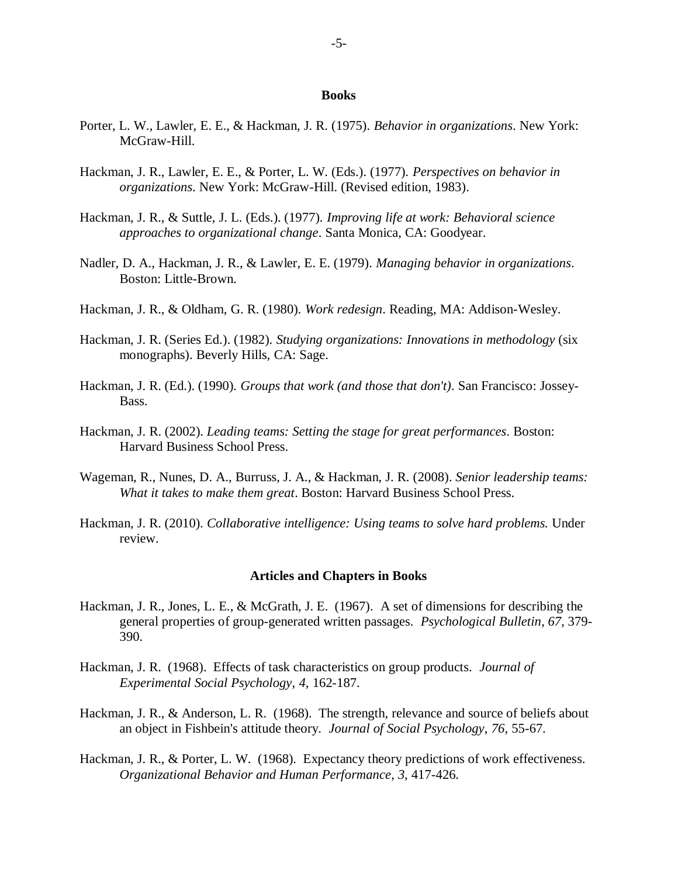#### **Books**

- Porter, L. W., Lawler, E. E., & Hackman, J. R. (1975). *Behavior in organizations*. New York: McGraw-Hill.
- Hackman, J. R., Lawler, E. E., & Porter, L. W. (Eds.). (1977). *Perspectives on behavior in organizations*. New York: McGraw-Hill. (Revised edition, 1983).
- Hackman, J. R., & Suttle, J. L. (Eds.). (1977). *Improving life at work: Behavioral science approaches to organizational change*. Santa Monica, CA: Goodyear.
- Nadler, D. A., Hackman, J. R., & Lawler, E. E. (1979). *Managing behavior in organizations*. Boston: Little-Brown.
- Hackman, J. R., & Oldham, G. R. (1980). *Work redesign*. Reading, MA: Addison-Wesley.
- Hackman, J. R. (Series Ed.). (1982). *Studying organizations: Innovations in methodology* (six monographs). Beverly Hills, CA: Sage.
- Hackman, J. R. (Ed.). (1990). *Groups that work (and those that don't)*. San Francisco: Jossey-Bass.
- Hackman, J. R. (2002). *Leading teams: Setting the stage for great performances*. Boston: Harvard Business School Press.
- Wageman, R., Nunes, D. A., Burruss, J. A., & Hackman, J. R. (2008). *Senior leadership teams: What it takes to make them great*. Boston: Harvard Business School Press.
- Hackman, J. R. (2010). *Collaborative intelligence: Using teams to solve hard problems.* Under review.

#### **Articles and Chapters in Books**

- Hackman, J. R., Jones, L. E., & McGrath, J. E. (1967). A set of dimensions for describing the general properties of group-generated written passages. *Psychological Bulletin*, *67*, 379- 390.
- Hackman, J. R. (1968). Effects of task characteristics on group products. *Journal of Experimental Social Psychology*, *4*, 162-187.
- Hackman, J. R., & Anderson, L. R. (1968). The strength, relevance and source of beliefs about an object in Fishbein's attitude theory. *Journal of Social Psychology*, *76*, 55-67.
- Hackman, J. R., & Porter, L. W. (1968). Expectancy theory predictions of work effectiveness. *Organizational Behavior and Human Performance*, *3*, 417-426.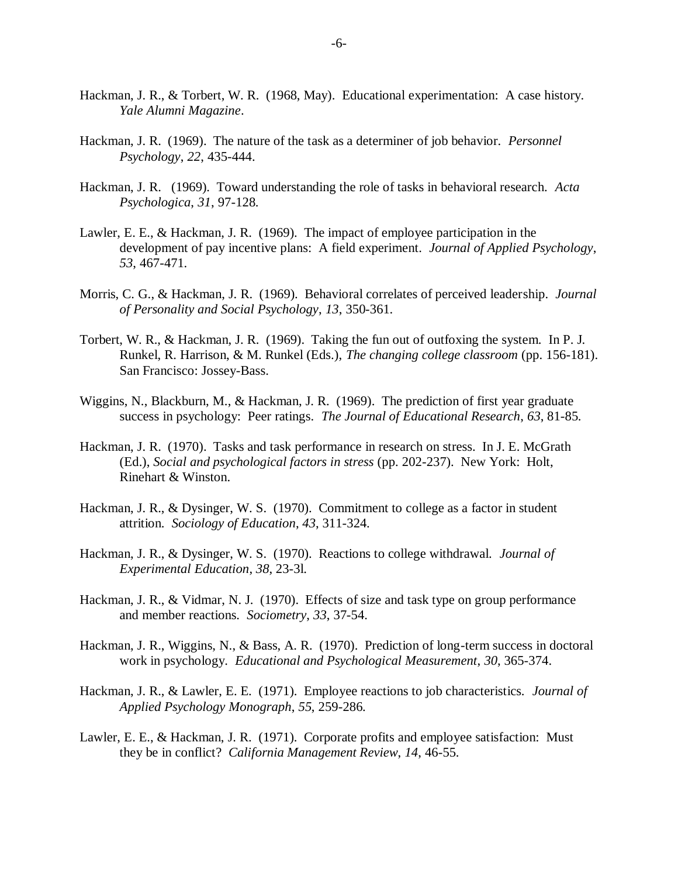- Hackman, J. R., & Torbert, W. R. (1968, May). Educational experimentation: A case history. *Yale Alumni Magazine*.
- Hackman, J. R. (1969). The nature of the task as a determiner of job behavior. *Personnel Psychology*, *22*, 435-444.
- Hackman, J. R. (1969). Toward understanding the role of tasks in behavioral research. *Acta Psychologica*, *31*, 97-128.
- Lawler, E. E., & Hackman, J. R. (1969). The impact of employee participation in the development of pay incentive plans: A field experiment. *Journal of Applied Psychology*, *53*, 467-471.
- Morris, C. G., & Hackman, J. R. (1969). Behavioral correlates of perceived leadership. *Journal of Personality and Social Psychology*, *13*, 350-361.
- Torbert, W. R., & Hackman, J. R. (1969). Taking the fun out of outfoxing the system. In P. J. Runkel, R. Harrison, & M. Runkel (Eds.), *The changing college classroom* (pp. 156-181). San Francisco: Jossey-Bass.
- Wiggins, N., Blackburn, M., & Hackman, J. R. (1969). The prediction of first year graduate success in psychology: Peer ratings. *The Journal of Educational Research*, *63*, 81-85.
- Hackman, J. R. (1970). Tasks and task performance in research on stress. In J. E. McGrath (Ed.), *Social and psychological factors in stress* (pp. 202-237). New York: Holt, Rinehart & Winston.
- Hackman, J. R., & Dysinger, W. S. (1970). Commitment to college as a factor in student attrition. *Sociology of Education*, *43*, 311-324.
- Hackman, J. R., & Dysinger, W. S. (1970). Reactions to college withdrawal. *Journal of Experimental Education*, *38*, 23-3l.
- Hackman, J. R., & Vidmar, N. J. (1970). Effects of size and task type on group performance and member reactions. *Sociometry*, *33*, 37-54.
- Hackman, J. R., Wiggins, N., & Bass, A. R. (1970). Prediction of long-term success in doctoral work in psychology. *Educational and Psychological Measurement*, *30*, 365-374.
- Hackman, J. R., & Lawler, E. E. (1971). Employee reactions to job characteristics. *Journal of Applied Psychology Monograph*, *55*, 259-286.
- Lawler, E. E., & Hackman, J. R. (1971). Corporate profits and employee satisfaction: Must they be in conflict? *California Management Review*, *14*, 46-55.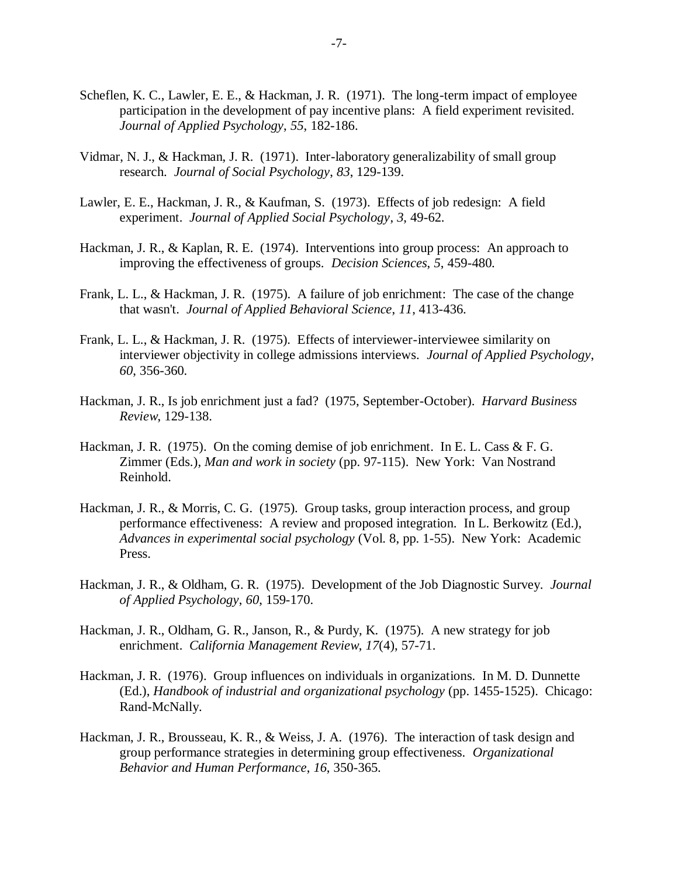- Scheflen, K. C., Lawler, E. E., & Hackman, J. R. (1971). The long-term impact of employee participation in the development of pay incentive plans: A field experiment revisited. *Journal of Applied Psychology*, *55*, 182-186.
- Vidmar, N. J., & Hackman, J. R. (1971). Inter-laboratory generalizability of small group research. *Journal of Social Psychology*, *83*, 129-139.
- Lawler, E. E., Hackman, J. R., & Kaufman, S. (1973). Effects of job redesign: A field experiment. *Journal of Applied Social Psychology*, *3*, 49-62.
- Hackman, J. R., & Kaplan, R. E. (1974). Interventions into group process: An approach to improving the effectiveness of groups. *Decision Sciences*, *5*, 459-480.
- Frank, L. L., & Hackman, J. R. (1975). A failure of job enrichment: The case of the change that wasn't. *Journal of Applied Behavioral Science*, *11*, 413-436.
- Frank, L. L., & Hackman, J. R. (1975). Effects of interviewer-interviewee similarity on interviewer objectivity in college admissions interviews. *Journal of Applied Psychology*, *60*, 356-360.
- Hackman, J. R., Is job enrichment just a fad? (1975, September-October). *Harvard Business Review*, 129-138.
- Hackman, J. R. (1975). On the coming demise of job enrichment. In E. L. Cass & F. G. Zimmer (Eds.), *Man and work in society* (pp. 97-115). New York: Van Nostrand Reinhold.
- Hackman, J. R., & Morris, C. G. (1975). Group tasks, group interaction process, and group performance effectiveness: A review and proposed integration. In L. Berkowitz (Ed.), *Advances in experimental social psychology* (Vol. 8, pp. 1-55). New York: Academic Press.
- Hackman, J. R., & Oldham, G. R. (1975). Development of the Job Diagnostic Survey. *Journal of Applied Psychology*, *60*, 159-170.
- Hackman, J. R., Oldham, G. R., Janson, R., & Purdy, K. (1975). A new strategy for job enrichment. *California Management Review*, *17*(4), 57-71.
- Hackman, J. R. (1976). Group influences on individuals in organizations. In M. D. Dunnette (Ed.), *Handbook of industrial and organizational psychology* (pp. 1455-1525). Chicago: Rand-McNally.
- Hackman, J. R., Brousseau, K. R., & Weiss, J. A. (1976). The interaction of task design and group performance strategies in determining group effectiveness. *Organizational Behavior and Human Performance*, *16*, 350-365.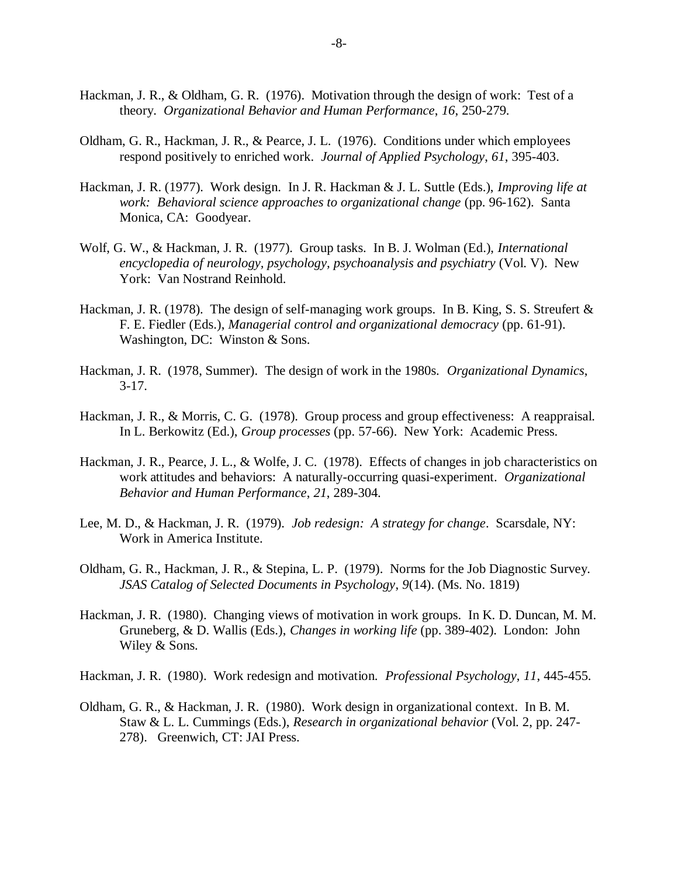- Hackman, J. R., & Oldham, G. R. (1976). Motivation through the design of work: Test of a theory. *Organizational Behavior and Human Performance*, *16*, 250-279.
- Oldham, G. R., Hackman, J. R., & Pearce, J. L. (1976). Conditions under which employees respond positively to enriched work. *Journal of Applied Psychology*, *61*, 395-403.
- Hackman, J. R. (1977). Work design. In J. R. Hackman & J. L. Suttle (Eds.), *Improving life at work: Behavioral science approaches to organizational change* (pp. 96-162). Santa Monica, CA: Goodyear.
- Wolf, G. W., & Hackman, J. R. (1977). Group tasks. In B. J. Wolman (Ed.), *International encyclopedia of neurology, psychology, psychoanalysis and psychiatry* (Vol. V). New York: Van Nostrand Reinhold.
- Hackman, J. R. (1978). The design of self-managing work groups. In B. King, S. S. Streufert & F. E. Fiedler (Eds.), *Managerial control and organizational democracy* (pp. 61-91). Washington, DC: Winston & Sons.
- Hackman, J. R. (1978, Summer). The design of work in the 1980s. *Organizational Dynamics*,  $3 - 17$ .
- Hackman, J. R., & Morris, C. G. (1978). Group process and group effectiveness: A reappraisal. In L. Berkowitz (Ed.), *Group processes* (pp. 57-66). New York: Academic Press.
- Hackman, J. R., Pearce, J. L., & Wolfe, J. C. (1978). Effects of changes in job characteristics on work attitudes and behaviors: A naturally-occurring quasi-experiment. *Organizational Behavior and Human Performance*, *21*, 289-304.
- Lee, M. D., & Hackman, J. R. (1979). *Job redesign: A strategy for change*. Scarsdale, NY: Work in America Institute.
- Oldham, G. R., Hackman, J. R., & Stepina, L. P. (1979). Norms for the Job Diagnostic Survey. *JSAS Catalog of Selected Documents in Psychology*, *9*(14). (Ms. No. 1819)
- Hackman, J. R. (1980). Changing views of motivation in work groups. In K. D. Duncan, M. M. Gruneberg, & D. Wallis (Eds.), *Changes in working life* (pp. 389-402). London: John Wiley & Sons.
- Hackman, J. R. (1980). Work redesign and motivation. *Professional Psychology*, *11*, 445-455.
- Oldham, G. R., & Hackman, J. R. (1980). Work design in organizational context. In B. M. Staw & L. L. Cummings (Eds.), *Research in organizational behavior* (Vol. 2, pp. 247- 278). Greenwich, CT: JAI Press.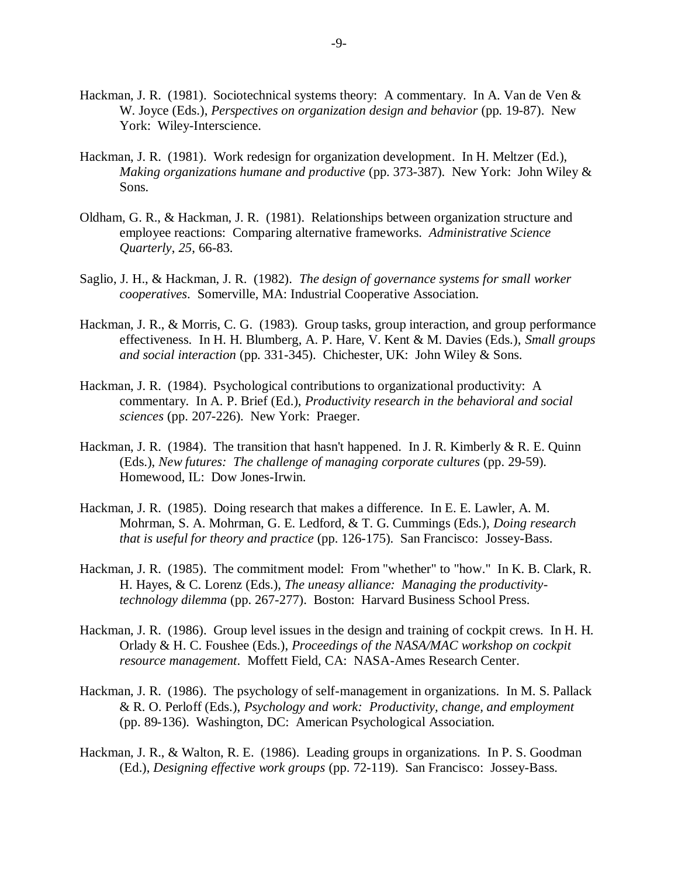- Hackman, J. R. (1981). Sociotechnical systems theory: A commentary. In A. Van de Ven & W. Joyce (Eds.), *Perspectives on organization design and behavior* (pp. 19-87). New York: Wiley-Interscience.
- Hackman, J. R. (1981). Work redesign for organization development. In H. Meltzer (Ed.), *Making organizations humane and productive* (pp. 373-387). New York: John Wiley & Sons.
- Oldham, G. R., & Hackman, J. R. (1981). Relationships between organization structure and employee reactions: Comparing alternative frameworks. *Administrative Science Quarterly*, *25*, 66-83.
- Saglio, J. H., & Hackman, J. R. (1982). *The design of governance systems for small worker cooperatives*. Somerville, MA: Industrial Cooperative Association.
- Hackman, J. R., & Morris, C. G. (1983). Group tasks, group interaction, and group performance effectiveness. In H. H. Blumberg, A. P. Hare, V. Kent & M. Davies (Eds.), *Small groups and social interaction* (pp. 331-345). Chichester, UK: John Wiley & Sons.
- Hackman, J. R. (1984). Psychological contributions to organizational productivity: A commentary. In A. P. Brief (Ed.), *Productivity research in the behavioral and social sciences* (pp. 207-226). New York: Praeger.
- Hackman, J. R. (1984). The transition that hasn't happened. In J. R. Kimberly & R. E. Quinn (Eds.), *New futures: The challenge of managing corporate cultures* (pp. 29-59). Homewood, IL: Dow Jones-Irwin.
- Hackman, J. R. (1985). Doing research that makes a difference. In E. E. Lawler, A. M. Mohrman, S. A. Mohrman, G. E. Ledford, & T. G. Cummings (Eds.), *Doing research that is useful for theory and practice* (pp. 126-175). San Francisco: Jossey-Bass.
- Hackman, J. R. (1985). The commitment model: From "whether" to "how." In K. B. Clark, R. H. Hayes, & C. Lorenz (Eds.), *The uneasy alliance: Managing the productivitytechnology dilemma* (pp. 267-277). Boston: Harvard Business School Press.
- Hackman, J. R. (1986). Group level issues in the design and training of cockpit crews. In H. H. Orlady & H. C. Foushee (Eds.), *Proceedings of the NASA/MAC workshop on cockpit resource management*. Moffett Field, CA: NASA-Ames Research Center.
- Hackman, J. R. (1986). The psychology of self-management in organizations. In M. S. Pallack & R. O. Perloff (Eds.), *Psychology and work: Productivity, change, and employment* (pp. 89-136). Washington, DC: American Psychological Association.
- Hackman, J. R., & Walton, R. E. (1986). Leading groups in organizations. In P. S. Goodman (Ed.), *Designing effective work groups* (pp. 72-119). San Francisco: Jossey-Bass.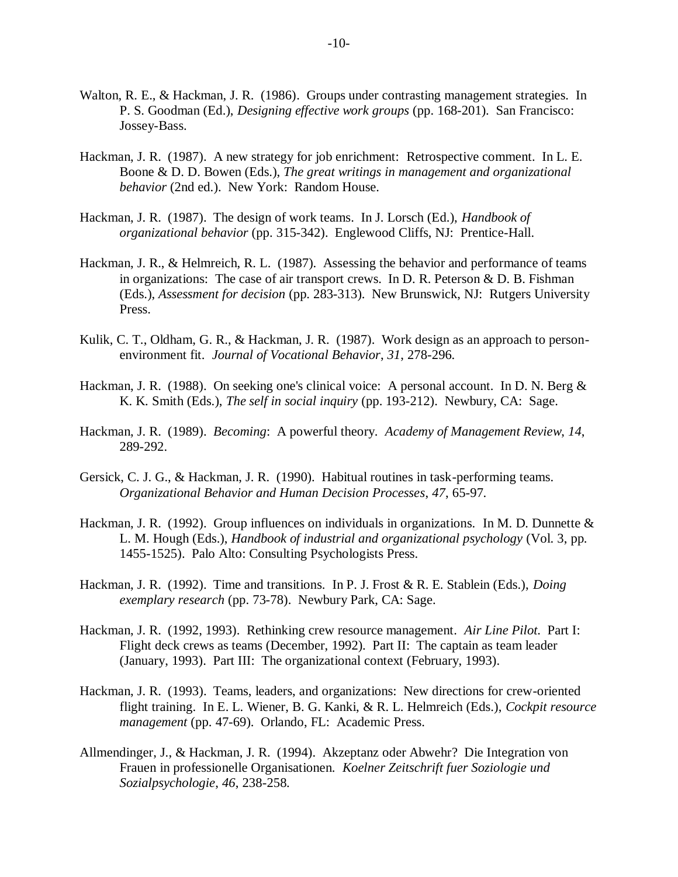- Walton, R. E., & Hackman, J. R. (1986). Groups under contrasting management strategies. In P. S. Goodman (Ed.), *Designing effective work groups* (pp. 168-201). San Francisco: Jossey-Bass.
- Hackman, J. R. (1987). A new strategy for job enrichment: Retrospective comment. In L. E. Boone & D. D. Bowen (Eds.), *The great writings in management and organizational behavior* (2nd ed.). New York: Random House.
- Hackman, J. R. (1987). The design of work teams. In J. Lorsch (Ed.), *Handbook of organizational behavior* (pp. 315-342). Englewood Cliffs, NJ: Prentice-Hall.
- Hackman, J. R., & Helmreich, R. L. (1987). Assessing the behavior and performance of teams in organizations: The case of air transport crews. In D. R. Peterson & D. B. Fishman (Eds.), *Assessment for decision* (pp. 283-313). New Brunswick, NJ: Rutgers University Press.
- Kulik, C. T., Oldham, G. R., & Hackman, J. R. (1987). Work design as an approach to personenvironment fit. *Journal of Vocational Behavior*, *31*, 278-296.
- Hackman, J. R. (1988). On seeking one's clinical voice: A personal account. In D. N. Berg & K. K. Smith (Eds.), *The self in social inquiry* (pp. 193-212). Newbury, CA: Sage.
- Hackman, J. R. (1989). *Becoming*: A powerful theory. *Academy of Management Review*, *14*, 289-292.
- Gersick, C. J. G., & Hackman, J. R. (1990). Habitual routines in task-performing teams. *Organizational Behavior and Human Decision Processes*, *47*, 65-97.
- Hackman, J. R. (1992). Group influences on individuals in organizations. In M. D. Dunnette & L. M. Hough (Eds.), *Handbook of industrial and organizational psychology* (Vol. 3, pp. 1455-1525). Palo Alto: Consulting Psychologists Press.
- Hackman, J. R. (1992). Time and transitions. In P. J. Frost & R. E. Stablein (Eds.), *Doing exemplary research* (pp. 73-78). Newbury Park, CA: Sage.
- Hackman, J. R. (1992, 1993). Rethinking crew resource management. *Air Line Pilot*. Part I: Flight deck crews as teams (December, 1992). Part II: The captain as team leader (January, 1993). Part III: The organizational context (February, 1993).
- Hackman, J. R. (1993). Teams, leaders, and organizations: New directions for crew-oriented flight training. In E. L. Wiener, B. G. Kanki, & R. L. Helmreich (Eds.), *Cockpit resource management* (pp. 47-69). Orlando, FL: Academic Press.
- Allmendinger, J., & Hackman, J. R. (1994). Akzeptanz oder Abwehr? Die Integration von Frauen in professionelle Organisationen. *Koelner Zeitschrift fuer Soziologie und Sozialpsychologie*, *46*, 238-258.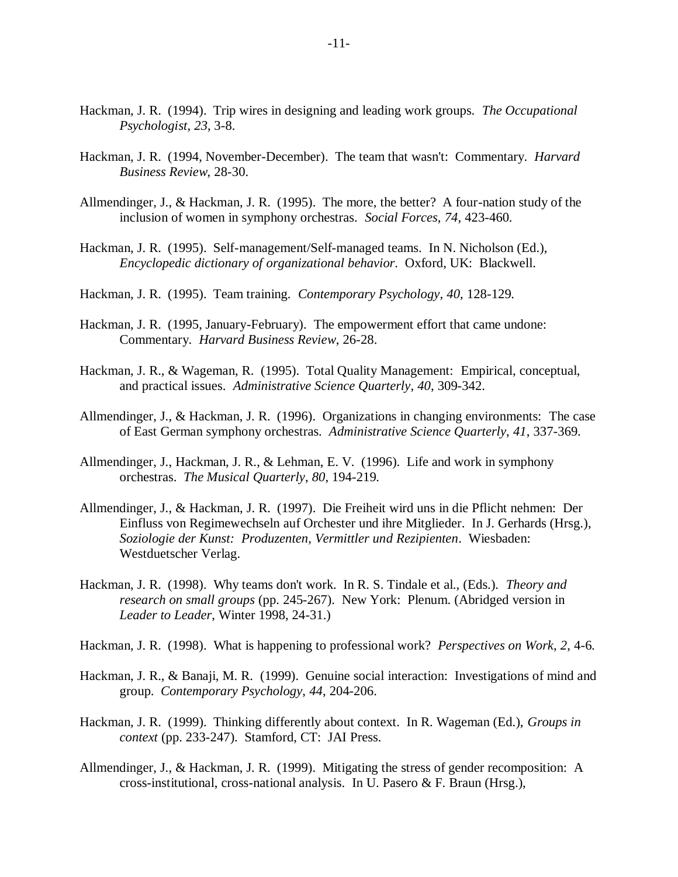- Hackman, J. R. (1994). Trip wires in designing and leading work groups. *The Occupational Psychologist*, *23*, 3-8.
- Hackman, J. R. (1994, November-December). The team that wasn't: Commentary. *Harvard Business Review*, 28-30.
- Allmendinger, J., & Hackman, J. R. (1995). The more, the better? A four-nation study of the inclusion of women in symphony orchestras. *Social Forces*, *74*, 423-460.
- Hackman, J. R. (1995). Self-management/Self-managed teams. In N. Nicholson (Ed.), *Encyclopedic dictionary of organizational behavior*. Oxford, UK: Blackwell.
- Hackman, J. R. (1995). Team training. *Contemporary Psychology*, *40*, 128-129.
- Hackman, J. R. (1995, January-February). The empowerment effort that came undone: Commentary. *Harvard Business Review*, 26-28.
- Hackman, J. R., & Wageman, R. (1995). Total Quality Management: Empirical, conceptual, and practical issues. *Administrative Science Quarterly*, *40*, 309-342.
- Allmendinger, J., & Hackman, J. R. (1996). Organizations in changing environments: The case of East German symphony orchestras. *Administrative Science Quarterly*, *41*, 337-369.
- Allmendinger, J., Hackman, J. R., & Lehman, E. V. (1996). Life and work in symphony orchestras. *The Musical Quarterly*, *80*, 194-219.
- Allmendinger, J., & Hackman, J. R. (1997). Die Freiheit wird uns in die Pflicht nehmen: Der Einfluss von Regimewechseln auf Orchester und ihre Mitglieder. In J. Gerhards (Hrsg.), *Soziologie der Kunst: Produzenten, Vermittler und Rezipienten*. Wiesbaden: Westduetscher Verlag.
- Hackman, J. R. (1998). Why teams don't work. In R. S. Tindale et al., (Eds.). *Theory and research on small groups* (pp. 245-267). New York: Plenum. (Abridged version in *Leader to Leader*, Winter 1998, 24-31.)
- Hackman, J. R. (1998). What is happening to professional work? *Perspectives on Work*, *2*, 4-6.
- Hackman, J. R., & Banaji, M. R. (1999). Genuine social interaction: Investigations of mind and group. *Contemporary Psychology*, *44*, 204-206.
- Hackman, J. R. (1999). Thinking differently about context. In R. Wageman (Ed.), *Groups in context* (pp. 233-247). Stamford, CT: JAI Press.
- Allmendinger, J., & Hackman, J. R. (1999). Mitigating the stress of gender recomposition: A cross-institutional, cross-national analysis. In U. Pasero & F. Braun (Hrsg.),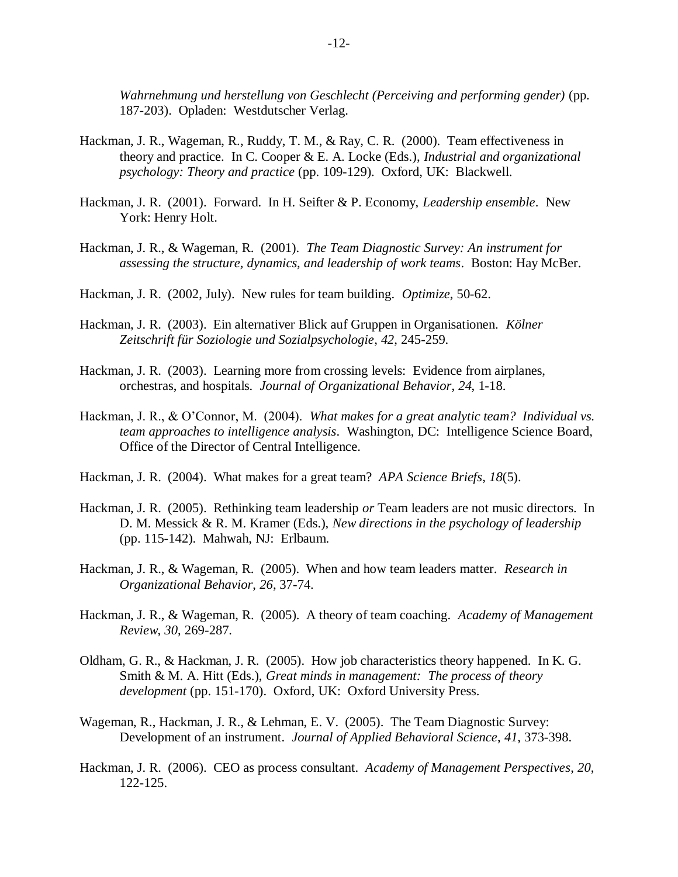*Wahrnehmung und herstellung von Geschlecht (Perceiving and performing gender)* (pp. 187-203). Opladen: Westdutscher Verlag.

- Hackman, J. R., Wageman, R., Ruddy, T. M., & Ray, C. R. (2000). Team effectiveness in theory and practice. In C. Cooper & E. A. Locke (Eds.), *Industrial and organizational psychology: Theory and practice* (pp. 109-129). Oxford, UK: Blackwell.
- Hackman, J. R. (2001). Forward. In H. Seifter & P. Economy, *Leadership ensemble*. New York: Henry Holt.
- Hackman, J. R., & Wageman, R. (2001). *The Team Diagnostic Survey: An instrument for assessing the structure, dynamics, and leadership of work teams*. Boston: Hay McBer.
- Hackman, J. R. (2002, July). New rules for team building. *Optimize*, 50-62.
- Hackman, J. R. (2003). Ein alternativer Blick auf Gruppen in Organisationen. *Kölner Zeitschrift für Soziologie und Sozialpsychologie*, *42*, 245-259.
- Hackman, J. R. (2003). Learning more from crossing levels: Evidence from airplanes, orchestras, and hospitals. *Journal of Organizational Behavior*, *24*, 1-18.
- Hackman, J. R., & O'Connor, M. (2004). *What makes for a great analytic team? Individual vs. team approaches to intelligence analysis*. Washington, DC: Intelligence Science Board, Office of the Director of Central Intelligence.
- Hackman, J. R. (2004). What makes for a great team? *APA Science Briefs*, *18*(5).
- Hackman, J. R. (2005). Rethinking team leadership *or* Team leaders are not music directors. In D. M. Messick & R. M. Kramer (Eds.), *New directions in the psychology of leadership* (pp. 115-142). Mahwah, NJ: Erlbaum.
- Hackman, J. R., & Wageman, R. (2005). When and how team leaders matter. *Research in Organizational Behavior*, *26*, 37-74.
- Hackman, J. R., & Wageman, R. (2005). A theory of team coaching. *Academy of Management Review*, *30*, 269-287.
- Oldham, G. R., & Hackman, J. R. (2005). How job characteristics theory happened. In K. G. Smith & M. A. Hitt (Eds.), *Great minds in management: The process of theory development* (pp. 151-170). Oxford, UK: Oxford University Press.
- Wageman, R., Hackman, J. R., & Lehman, E. V. (2005). The Team Diagnostic Survey: Development of an instrument. *Journal of Applied Behavioral Science*, *41*, 373-398.
- Hackman, J. R. (2006). CEO as process consultant. *Academy of Management Perspectives*, *20*, 122-125.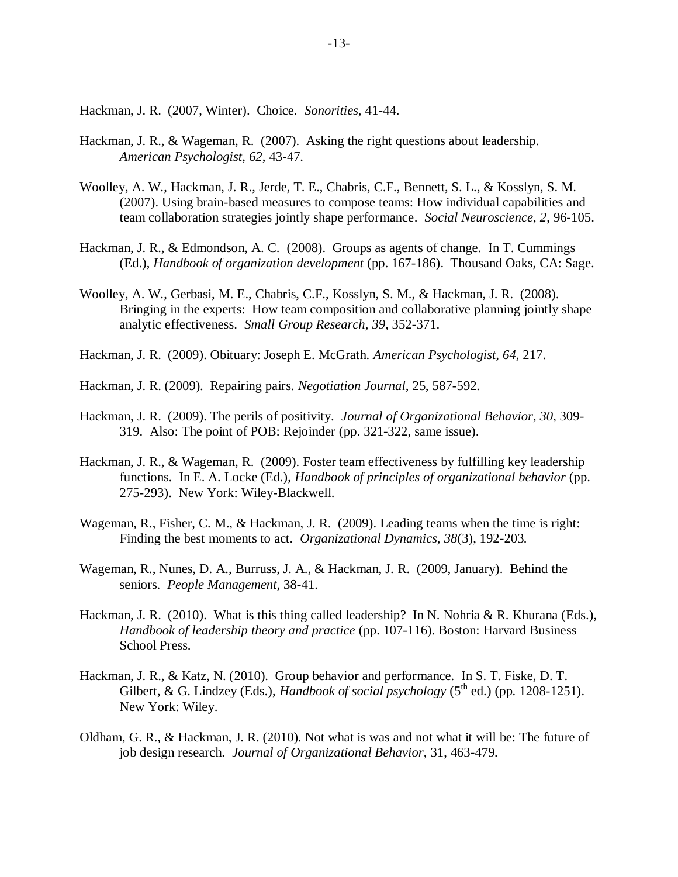Hackman, J. R. (2007, Winter). Choice. *Sonorities*, 41-44.

- Hackman, J. R., & Wageman, R. (2007). Asking the right questions about leadership. *American Psychologist*, *62*, 43-47.
- Woolley, A. W., Hackman, J. R., Jerde, T. E., Chabris, C.F., Bennett, S. L., & Kosslyn, S. M. (2007). Using brain-based measures to compose teams: How individual capabilities and team collaboration strategies jointly shape performance. *Social Neuroscience*, *2*, 96-105.
- Hackman, J. R., & Edmondson, A. C. (2008). Groups as agents of change. In T. Cummings (Ed.), *Handbook of organization development* (pp. 167-186). Thousand Oaks, CA: Sage.
- Woolley, A. W., Gerbasi, M. E., Chabris, C.F., Kosslyn, S. M., & Hackman, J. R. (2008). Bringing in the experts: How team composition and collaborative planning jointly shape analytic effectiveness. *Small Group Research*, *39,* 352-371.
- Hackman, J. R. (2009). Obituary: Joseph E. McGrath. *American Psychologist, 64,* 217.
- Hackman, J. R. (2009). Repairing pairs. *Negotiation Journal*, 25, 587-592.
- Hackman, J. R. (2009). The perils of positivity. *Journal of Organizational Behavior, 30*, 309- 319. Also: The point of POB: Rejoinder (pp. 321-322, same issue).
- Hackman, J. R., & Wageman, R. (2009). Foster team effectiveness by fulfilling key leadership functions. In E. A. Locke (Ed.), *Handbook of principles of organizational behavior* (pp. 275-293). New York: Wiley-Blackwell.
- Wageman, R., Fisher, C. M., & Hackman, J. R. (2009). Leading teams when the time is right: Finding the best moments to act. *Organizational Dynamics, 38*(3), 192-203*.*
- Wageman, R., Nunes, D. A., Burruss, J. A., & Hackman, J. R. (2009, January). Behind the seniors. *People Management,* 38-41.
- Hackman, J. R. (2010). What is this thing called leadership? In N. Nohria & R. Khurana (Eds.), *Handbook of leadership theory and practice* (pp. 107-116). Boston: Harvard Business School Press.
- Hackman, J. R., & Katz, N. (2010). Group behavior and performance. In S. T. Fiske, D. T. Gilbert, & G. Lindzey (Eds.), *Handbook of social psychology*  $(5^{th}$  ed.) (pp. 1208-1251). New York: Wiley.
- Oldham, G. R., & Hackman, J. R. (2010). Not what is was and not what it will be: The future of job design research. *Journal of Organizational Behavior*, 31, 463-479*.*